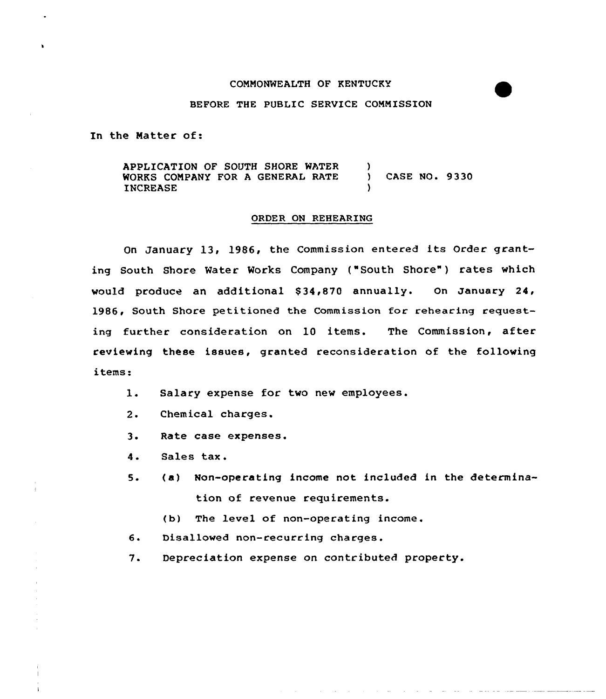### COMNONWEALTH OF KENTUCKY

### BEFORE THE PUBLIC SERVICE COMMISSION

In the Natter of:

APPLICATION OF SOUTH SHORE WATER WORKS COMPANY FOR A GENERAL RATE INCREASE  $\left\{ \right\}$ ) CASE NO. 9330 )

## ORDER ON REHEARING

On January 13, 1986, the Commission entered its Order granting South Shore Water Works Company ("South Shore") rates which would produce an additional \$34,870 annually. On January 24, 1986, South Shore petitioned the Commission for rehearing requesting further consideration on 10 items. The Commission, after reviewing these issues, granted reconsideration of the following items:

- $1.$ Salary expense for two new employees.
- $2.$ Chemical charges.
- $3 \cdot$ Rate case expenses.
- 4 <sup>~</sup> Sales tax.
- 5 (a) Non-operating income not included in the determination of revenue requirements.
	- (b) The level of non-operating income.
- $6.$ Disallowed non-recurring charges.
- $7.$ Depreciation expense on contributed property.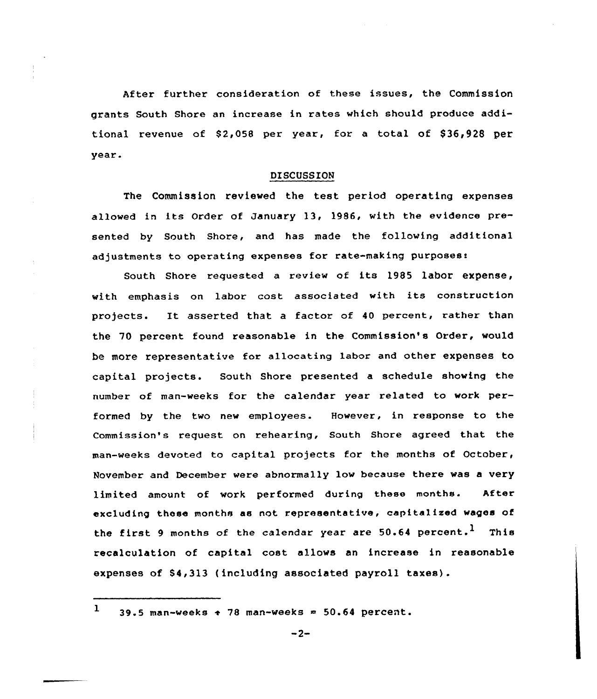After further consideration of these issues, the Commission grants South Shore an increase in rates which should produce additional revenue of \$2,058 per year, for a total of \$36,928 per year.

### DISCUSSION

The Commission reviewed the test period operating expenses allowed in its Order of January 13, 1986, with the evidence presented by South Shore, and has made the following additional adjustments to operating expenses for rate-making purposes:

South Shore requested a review of its 1985 labor expense, with emphasis on labor cost associated with its construction projects. It asserted that <sup>a</sup> factor of <sup>40</sup> percent, rather than the 70 percent found reasonable in the Commission's Order, would be more representative for allocating labor and other expenses to capital projects. South Shore presented a schedule showing the number of man-weeks for the calendar year related to work performed by the two new employees. However, in response to the Commission's request on rehearing, South Shore agreed that the man-weeks devoted to capital projects for the months of October, November and December were abnormally low because there was a very limited amount of work performed during these months. After excluding these months as not representative, capitalized wages of the first 9 months of the calendar year are  $50.64$  percent.<sup>1</sup> This recalculation of capital cost allows an increase in reasonable expenses of \$4,313 (including associated payroll taxes).

 $1$  39.5 man-weeks  $\div$  78 man-weeks = 50.64 percent.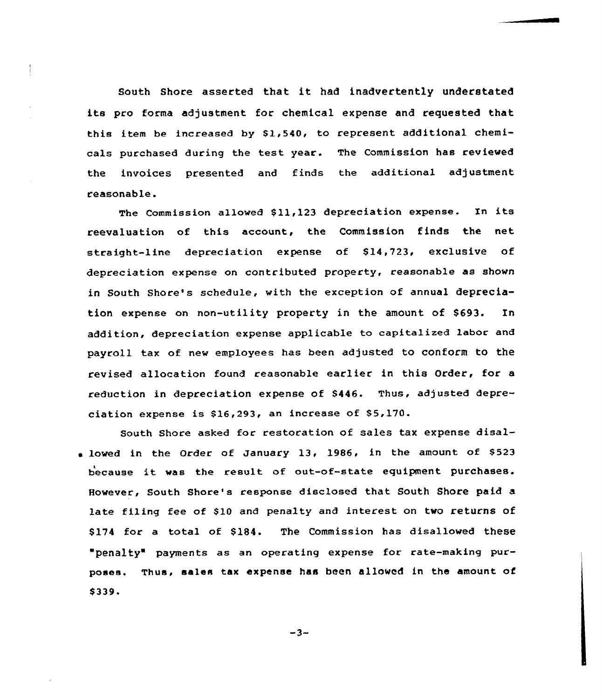South Shore asserted that it had inadvertently understated its pro forma adjustment for chemical expense and requested that this item be increased by \$1,540, to represent additional chemicals purchased during the test year. The Commission has reviewed the invoices presented and finds the additional adjustment reasonable.

The Commission allowed \$11,123 depreciation expense. In its reevaluation of this account, the Commission finds the net straight-line depreciation expense of \$14,723, exclusive of depreciation expense on contributed property, reasonable as shown in South Shore's schedule, with the exception of annual depreciation expense on non-utility property in the amount of \$693. In addition, depreciation expense applicable to capitalized labor and payroll tax of new employees has been adjusted to conform to the revised allocation found reasonable earlier in this Order, for a reduction in depreciation expense of \$446. Thus, adjusted depreciation expense is  $$16,293$ , an increase of  $$5,170$ .

South Shore asked for restoration of sales tax expense disal-  $\bullet$  lowed in the Order of January 13, 1986, in the amount of \$523 because it was the result of out-of-state equipment purchases. However, South Shore's response disclosed that. South Shore paid a late filing fee of \$10 and penalty and interest on two returns of \$174 for a total of \$184. The Commission has disallowed these "penalty" payments as an operating expense for rate-making purposes. Thus, sales tax expense has been allowed in the amount of \$ 339.

 $-3-$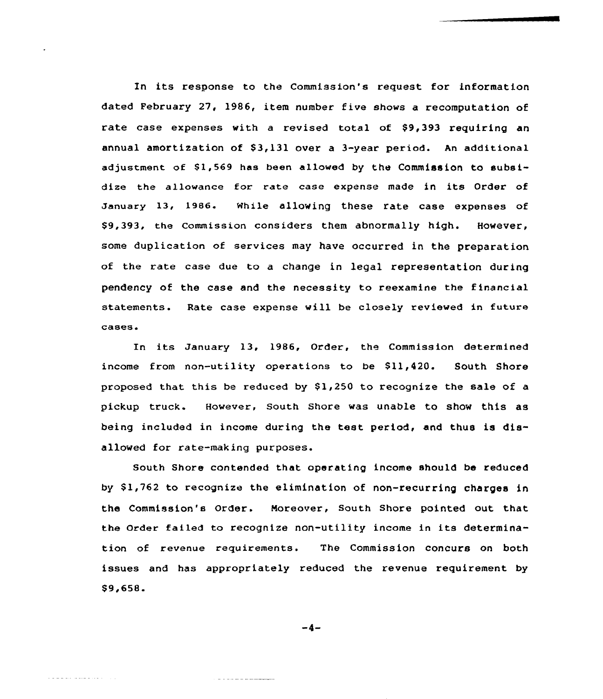In its response to the Commission's request for information dated February 27, 1986, item number five shows a recomputation of rate case expenses with a revised total of \$9,393 requiring an annual amortization of \$3,131 over a 3-year period. An additional adjustment of  $$1,569$  has been allowed by the Commission to subsidize the allowance for rate ease expense made in its Order of January 13, 1986. while allowing these rate ease expenses of \$ 9,393, the Commission considers them abnormally high. However, some duplication of services may have occurred in the preparation of the rate case due to a change in legal representation during pendency of the case and the necessity to reexamine the financial statements. Rate case expense will be closely reviewed in future cases.

In its January 13, 1986, Order, the Commission determined income from non-utility operations to be \$11,420. South Shore proposed that this be reduced by  $$1,250$  to recognize the sale of a pickup truck. However, South Shore was unable to show this as being included in income during the test period, and thus is disallowed for rate-making purposes.

South Shore contended that operating income should be reduced by \$1,762 to recognize the elimination of non-recurring charges in the Commission's Order. Moreover, South Shore pointed out that the Order failed to recognize non-utility income in its determination of revenue requirements. The Commission concurs on both issues and has appropriately reduced the revenue requirement by \$ 9,658.

 $-4-$ 

الرابون والودوس المواط طاط والد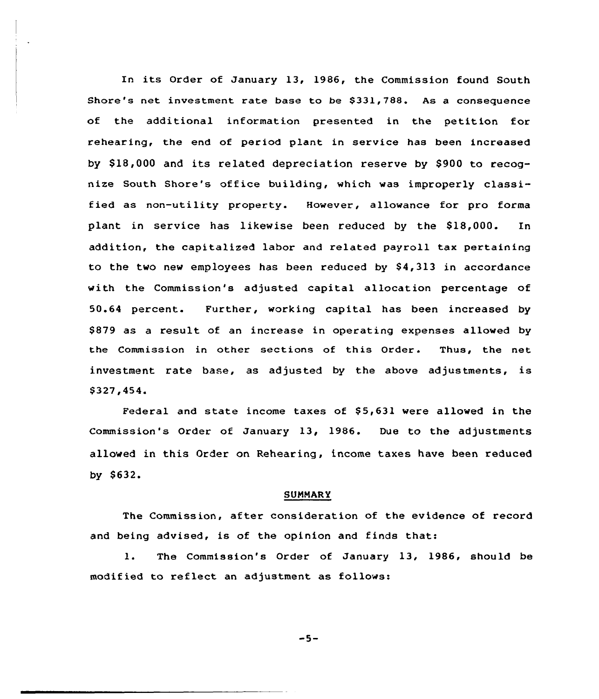In its Order of January 13, 1986, the Commission found South Shore's net investment rate base to be \$331,788. As a consequence of the additional information presented in the petition for rehearing, the end of period plant in service has been increased by \$ 18,000 and its related depreciation reserve by S900 to recognize South Shore's office building, which was improperly classified as non-utility property. However, allowance for pro forma plant in service has likewise been reduced by the 818,000. In addition, the capitalized labor and related payroll tax pertaining to the two new employees has been reduced by  $$4,313$  in accordance with the Commission's adjusted capital allocation percentage of 50.64 percent. Further, working capital has been increased by S879 as a result of an increase in operating expenses alloved by the Commission in other sections of this Order. Thus, the net investment rate base, as adjusted by the above adjustments, is \$ 327,454

Federal and state income taxes of \$5,631 were allowed in the Commission's Order of January 13, 1986. Due to the adjustments alloved in this Order on Rehearing, income taxes have been reduced by 8632.

#### **SUMMARY**

The Commission, after consideration of the evidence of record and being advised, is of the opinion and finds that:

1. The Commission's Order of January 13, 1986, should be modified to reflect an adjustment as follows:

 $-5-$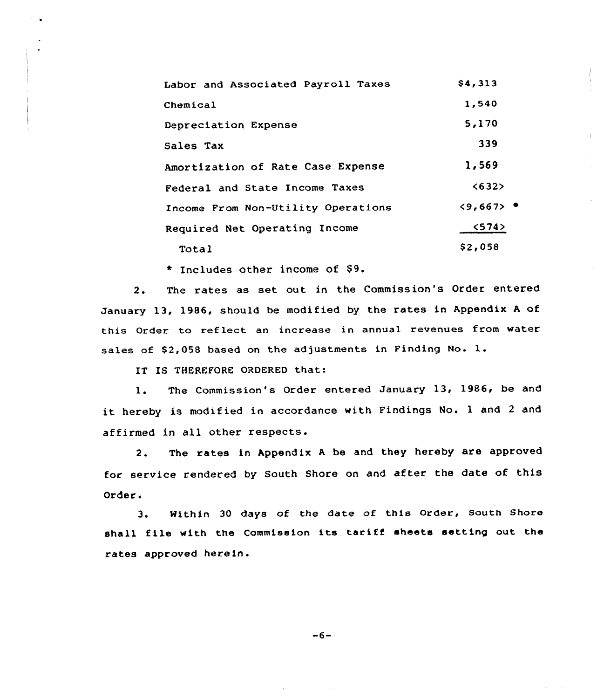| Labor and Associated Payroll Taxes | \$4,313                           |
|------------------------------------|-----------------------------------|
| Chemical                           | 1,540                             |
| Depreciation Expense               | 5,170                             |
| Sales Tax                          | 339                               |
| Amortization of Rate Case Expense  | 1,569                             |
| Federal and State Income Taxes     | < 632                             |
| Income From Non-Utility Operations | $\langle 9,667 \rangle$ $\bullet$ |
| Required Net Operating Income      | 574                               |
| Total                              | \$2,058                           |

\* Includes other income of \$9.

2. The rates as set out in the Commission's Order entered January 13, 1986, should be modified by the rates in Appendix <sup>A</sup> of this Order to reflect an increase in annual revenues from water sales of \$2,058 based on the adjustments in Finding No. 1.

IT IS THEREFORE ORDERED that:

1. The Commission's Order entered January 13, 1986, be and it hereby is modified in accordance with Findings No. <sup>1</sup> and <sup>2</sup> and affirmed in all other respects.

2. The rates in Appendix <sup>A</sup> be and they hereby are approved for service rendered by South Shore on and after the date of this Order.

3. Within 30 days of the date of this Order, South Shore shall file with the Commission its tariff sheets setting out the rates approved herein.

 $-6-$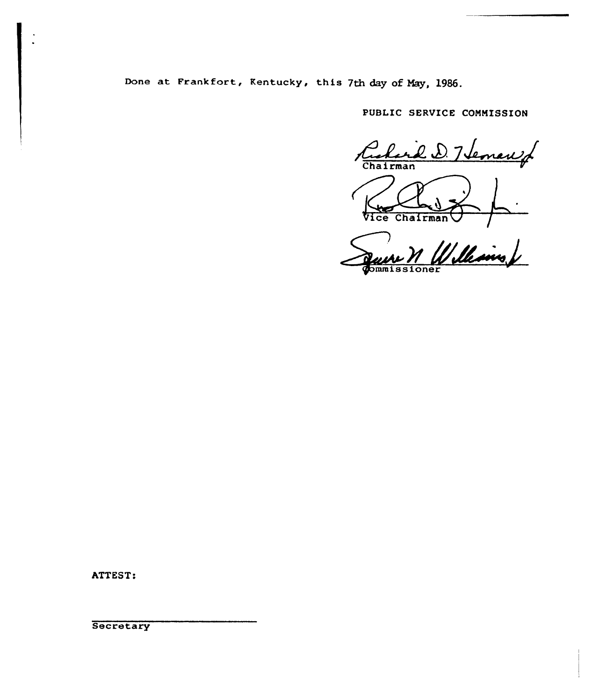Done at Frankfort, Kentucky, this 7th day of Nay, 1986.

PUBLIC SERVICE COMMISSION

l D. Heman of **Chairman** Vice Chairman

Quire M Williams

ATTEST:

**Secretary**